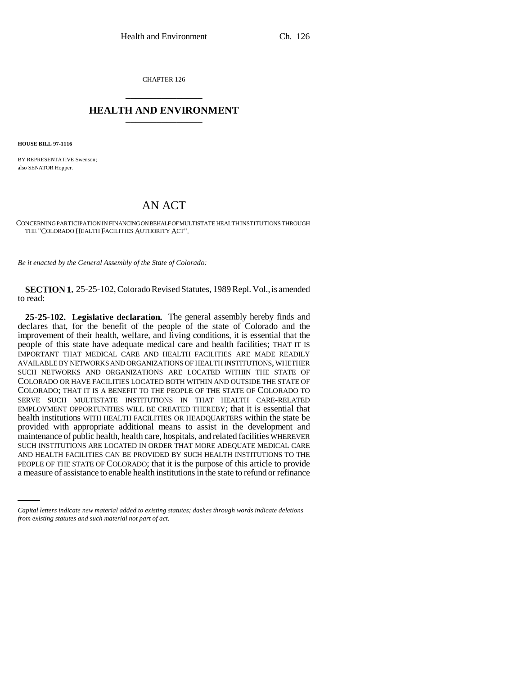CHAPTER 126 \_\_\_\_\_\_\_\_\_\_\_\_\_\_\_

## **HEALTH AND ENVIRONMENT** \_\_\_\_\_\_\_\_\_\_\_\_\_\_\_

**HOUSE BILL 97-1116**

BY REPRESENTATIVE Swenson; also SENATOR Hopper.

## AN ACT

CONCERNING PARTICIPATION IN FINANCING ON BEHALF OF MULTISTATE HEALTH INSTITUTIONS THROUGH THE "COLORADO HEALTH FACILITIES AUTHORITY ACT".

*Be it enacted by the General Assembly of the State of Colorado:*

**SECTION 1.** 25-25-102, Colorado Revised Statutes, 1989 Repl. Vol., is amended to read:

AND HEALTH FACILITIES CAN BE PROVIDED BY SUCH HEALTH INSTITUTIONS TO THE **25-25-102. Legislative declaration.** The general assembly hereby finds and declares that, for the benefit of the people of the state of Colorado and the improvement of their health, welfare, and living conditions, it is essential that the people of this state have adequate medical care and health facilities; THAT IT IS IMPORTANT THAT MEDICAL CARE AND HEALTH FACILITIES ARE MADE READILY AVAILABLE BY NETWORKS AND ORGANIZATIONS OF HEALTH INSTITUTIONS, WHETHER SUCH NETWORKS AND ORGANIZATIONS ARE LOCATED WITHIN THE STATE OF COLORADO OR HAVE FACILITIES LOCATED BOTH WITHIN AND OUTSIDE THE STATE OF COLORADO; THAT IT IS A BENEFIT TO THE PEOPLE OF THE STATE OF COLORADO TO SERVE SUCH MULTISTATE INSTITUTIONS IN THAT HEALTH CARE-RELATED EMPLOYMENT OPPORTUNITIES WILL BE CREATED THEREBY; that it is essential that health institutions WITH HEALTH FACILITIES OR HEADQUARTERS within the state be provided with appropriate additional means to assist in the development and maintenance of public health, health care, hospitals, and related facilities WHEREVER SUCH INSTITUTIONS ARE LOCATED IN ORDER THAT MORE ADEQUATE MEDICAL CARE PEOPLE OF THE STATE OF COLORADO; that it is the purpose of this article to provide a measure of assistance to enable health institutions in the state to refund or refinance

*Capital letters indicate new material added to existing statutes; dashes through words indicate deletions from existing statutes and such material not part of act.*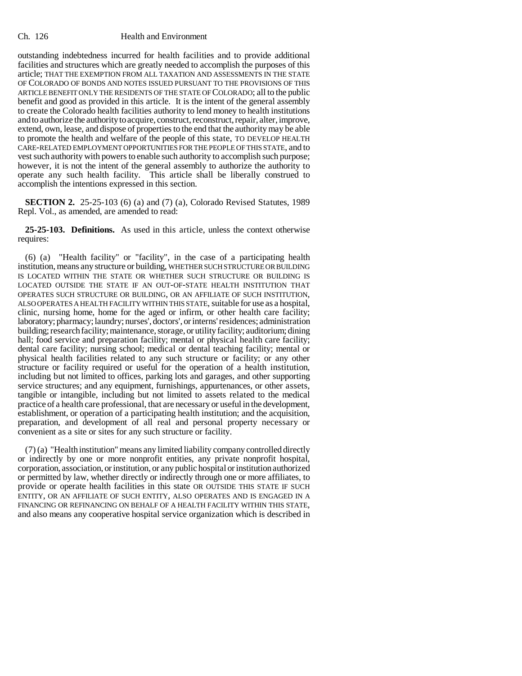## Ch. 126 Health and Environment

outstanding indebtedness incurred for health facilities and to provide additional facilities and structures which are greatly needed to accomplish the purposes of this article; THAT THE EXEMPTION FROM ALL TAXATION AND ASSESSMENTS IN THE STATE OF COLORADO OF BONDS AND NOTES ISSUED PURSUANT TO THE PROVISIONS OF THIS ARTICLE BENEFIT ONLY THE RESIDENTS OF THE STATE OF COLORADO; all to the public benefit and good as provided in this article. It is the intent of the general assembly to create the Colorado health facilities authority to lend money to health institutions and to authorize the authority to acquire, construct, reconstruct, repair, alter, improve, extend, own, lease, and dispose of properties to the end that the authority may be able to promote the health and welfare of the people of this state, TO DEVELOP HEALTH CARE-RELATED EMPLOYMENT OPPORTUNITIES FOR THE PEOPLE OF THIS STATE, and to vest such authority with powers to enable such authority to accomplish such purpose; however, it is not the intent of the general assembly to authorize the authority to operate any such health facility. This article shall be liberally construed to accomplish the intentions expressed in this section.

**SECTION 2.** 25-25-103 (6) (a) and (7) (a), Colorado Revised Statutes, 1989 Repl. Vol., as amended, are amended to read:

**25-25-103. Definitions.** As used in this article, unless the context otherwise requires:

(6) (a) "Health facility" or "facility", in the case of a participating health institution, means any structure or building, WHETHER SUCH STRUCTURE OR BUILDING IS LOCATED WITHIN THE STATE OR WHETHER SUCH STRUCTURE OR BUILDING IS LOCATED OUTSIDE THE STATE IF AN OUT-OF-STATE HEALTH INSTITUTION THAT OPERATES SUCH STRUCTURE OR BUILDING, OR AN AFFILIATE OF SUCH INSTITUTION, ALSO OPERATES A HEALTH FACILITY WITHIN THIS STATE, suitable for use as a hospital, clinic, nursing home, home for the aged or infirm, or other health care facility; laboratory; pharmacy; laundry; nurses', doctors', or interns' residences; administration building; research facility; maintenance, storage, or utility facility; auditorium; dining hall; food service and preparation facility; mental or physical health care facility; dental care facility; nursing school; medical or dental teaching facility; mental or physical health facilities related to any such structure or facility; or any other structure or facility required or useful for the operation of a health institution, including but not limited to offices, parking lots and garages, and other supporting service structures; and any equipment, furnishings, appurtenances, or other assets, tangible or intangible, including but not limited to assets related to the medical practice of a health care professional, that are necessary or useful in the development, establishment, or operation of a participating health institution; and the acquisition, preparation, and development of all real and personal property necessary or convenient as a site or sites for any such structure or facility.

(7) (a) "Health institution" means any limited liability company controlled directly or indirectly by one or more nonprofit entities, any private nonprofit hospital, corporation, association, or institution, or any public hospital or institution authorized or permitted by law, whether directly or indirectly through one or more affiliates, to provide or operate health facilities in this state OR OUTSIDE THIS STATE IF SUCH ENTITY, OR AN AFFILIATE OF SUCH ENTITY, ALSO OPERATES AND IS ENGAGED IN A FINANCING OR REFINANCING ON BEHALF OF A HEALTH FACILITY WITHIN THIS STATE, and also means any cooperative hospital service organization which is described in